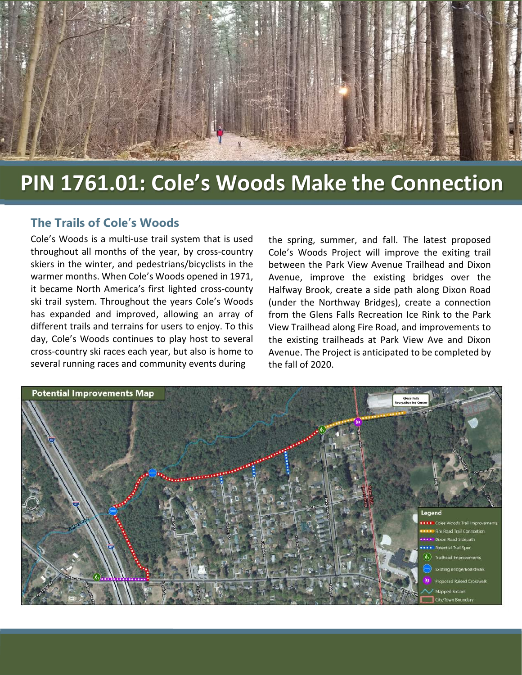

## **PIN 1761.01: Cole's Woods Make the Connection**

l

## **The Trails of Cole's Woods**

l

Cole's Woods is a multi-use trail system that is used throughout all months of the year, by cross-country skiers in the winter, and pedestrians/bicyclists in the warmer months. When Cole's Woods opened in 1971, it became North America's first lighted cross-county ski trail system. Throughout the years Cole's Woods has expanded and improved, allowing an array of different trails and terrains for users to enjoy. To this day, Cole's Woods continues to play host to several cross-country ski races each year, but also is home to several running races and community events during

the spring, summer, and fall. The latest proposed Cole's Woods Project will improve the exiting trail between the Park View Avenue Trailhead and Dixon Avenue, improve the existing bridges over the Halfway Brook, create a side path along Dixon Road (under the Northway Bridges), create a connection from the Glens Falls Recreation Ice Rink to the Park View Trailhead along Fire Road, and improvements to the existing trailheads at Park View Ave and Dixon Avenue. The Project is anticipated to be completed by the fall of 2020.